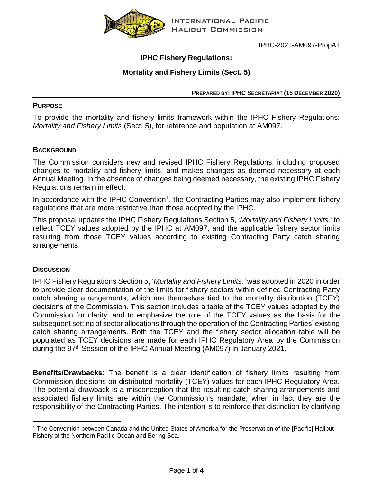

IPHC-2021-AM097-PropA1

## **IPHC Fishery Regulations:**

# **Mortality and Fishery Limits (Sect. 5)**

**PREPARED BY: IPHC SECRETARIAT (15 DECEMBER 2020)**

## **PURPOSE**

To provide the mortality and fishery limits framework within the IPHC Fishery Regulations: *Mortality and Fishery Limits* (Sect. 5), for reference and population at AM097.

## **BACKGROUND**

The Commission considers new and revised IPHC Fishery Regulations, including proposed changes to mortality and fishery limits, and makes changes as deemed necessary at each Annual Meeting. In the absence of changes being deemed necessary, the existing IPHC Fishery Regulations remain in effect.

In accordance with the IPHC Convention<sup>1</sup>, the Contracting Parties may also implement fishery regulations that are more restrictive than those adopted by the IPHC.

This proposal updates the IPHC Fishery Regulations Section 5, '*Mortality and Fishery Limits,'* to reflect TCEY values adopted by the IPHC at AM097, and the applicable fishery sector limits resulting from those TCEY values according to existing Contracting Party catch sharing arrangements.

### **DISCUSSION**

 $\overline{a}$ 

IPHC Fishery Regulations Section 5, '*Mortality and Fishery Limits,'* was adopted in 2020 in order to provide clear documentation of the limits for fishery sectors within defined Contracting Party catch sharing arrangements, which are themselves tied to the mortality distribution (TCEY) decisions of the Commission. This section includes a table of the TCEY values adopted by the Commission for clarity, and to emphasize the role of the TCEY values as the basis for the subsequent setting of sector allocations through the operation of the Contracting Parties' existing catch sharing arrangements. Both the TCEY and the fishery sector allocation table will be populated as TCEY decisions are made for each IPHC Regulatory Area by the Commission during the 97<sup>th</sup> Session of the IPHC Annual Meeting (AM097) in January 2021.

**Benefits/Drawbacks**: The benefit is a clear identification of fishery limits resulting from Commission decisions on distributed mortality (TCEY) values for each IPHC Regulatory Area. The potential drawback is a misconception that the resulting catch sharing arrangements and associated fishery limits are within the Commission's mandate, when in fact they are the responsibility of the Contracting Parties. The intention is to reinforce that distinction by clarifying

<sup>1</sup> The Convention between Canada and the United States of America for the Preservation of the [Pacific] Halibut Fishery of the Northern Pacific Ocean and Bering Sea.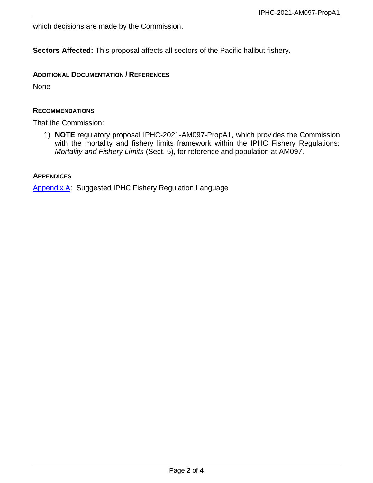which decisions are made by the Commission.

**Sectors Affected:** This proposal affects all sectors of the Pacific halibut fishery.

## **ADDITIONAL DOCUMENTATION / REFERENCES**

None

### **RECOMMENDATIONS**

That the Commission:

1) **NOTE** regulatory proposal IPHC-2021-AM097-PropA1, which provides the Commission with the mortality and fishery limits framework within the IPHC Fishery Regulations: *Mortality and Fishery Limits* (Sect. 5), for reference and population at AM097.

### **APPENDICES**

[Appendix A:](#page-2-0) Suggested IPHC Fishery Regulation Language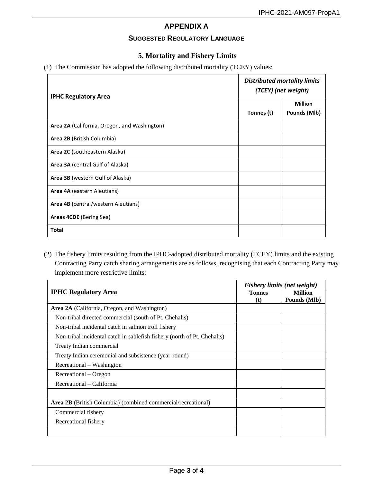## **APPENDIX A**

### **SUGGESTED REGULATORY LANGUAGE**

## **5. Mortality and Fishery Limits**

#### <span id="page-2-0"></span>(1) The Commission has adopted the following distributed mortality (TCEY) values:

| <b>IPHC Regulatory Area</b>                  | <b>Distributed mortality limits</b><br>(TCEY) (net weight) |                                       |
|----------------------------------------------|------------------------------------------------------------|---------------------------------------|
|                                              | Tonnes (t)                                                 | <b>Million</b><br><b>Pounds (MIb)</b> |
| Area 2A (California, Oregon, and Washington) |                                                            |                                       |
| Area 2B (British Columbia)                   |                                                            |                                       |
| Area 2C (southeastern Alaska)                |                                                            |                                       |
| Area 3A (central Gulf of Alaska)             |                                                            |                                       |
| Area 3B (western Gulf of Alaska)             |                                                            |                                       |
| Area 4A (eastern Aleutians)                  |                                                            |                                       |
| Area 4B (central/western Aleutians)          |                                                            |                                       |
| Areas 4CDE (Bering Sea)                      |                                                            |                                       |
| Total                                        |                                                            |                                       |

(2) The fishery limits resulting from the IPHC-adopted distributed mortality (TCEY) limits and the existing Contracting Party catch sharing arrangements are as follows, recognising that each Contracting Party may implement more restrictive limits:

| <b>IPHC Regulatory Area</b>                                          | Fishery limits (net weight) |                |
|----------------------------------------------------------------------|-----------------------------|----------------|
|                                                                      | <b>Tonnes</b>               | <b>Million</b> |
|                                                                      | (t)                         | Pounds (Mlb)   |
| <b>Area 2A</b> (California, Oregon, and Washington)                  |                             |                |
| Non-tribal directed commercial (south of Pt. Chehalis)               |                             |                |
| Non-tribal incidental catch in salmon troll fishery                  |                             |                |
| Non-tribal incidental catch in sable fishery (north of Pt. Chehalis) |                             |                |
| Treaty Indian commercial                                             |                             |                |
| Treaty Indian ceremonial and subsistence (year-round)                |                             |                |
| Recreational – Washington                                            |                             |                |
| Recreational – Oregon                                                |                             |                |
| Recreational – California                                            |                             |                |
|                                                                      |                             |                |
| <b>Area 2B</b> (British Columbia) (combined commercial/recreational) |                             |                |
| Commercial fishery                                                   |                             |                |
| Recreational fishery                                                 |                             |                |
|                                                                      |                             |                |